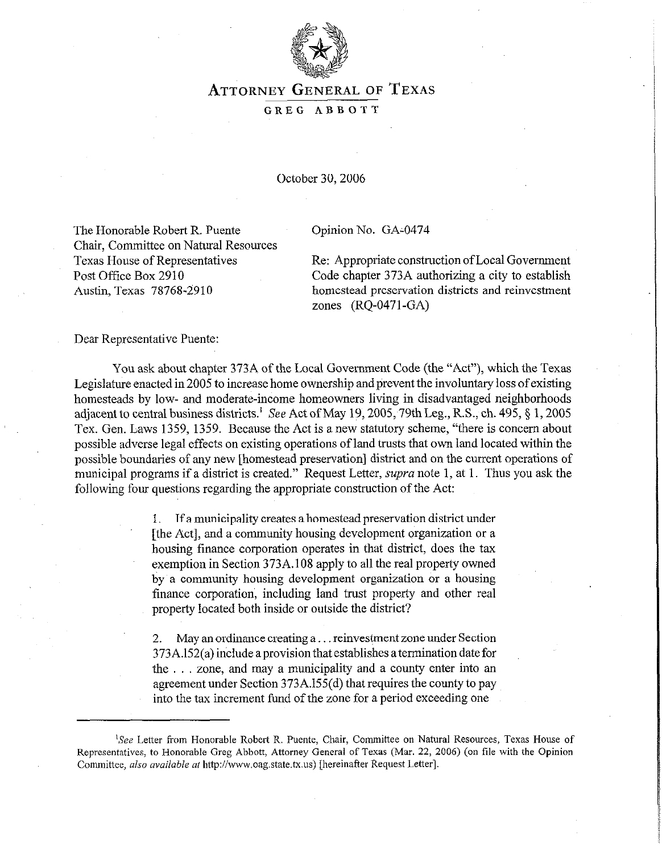

# **ATTORNEY GENERAL** OF **TEXAS**

#### GREG ABBOTT

October 30,2006

The Honorable Robert R. Puente Chair, Committee on Natural Resources Texas House of Representatives Post Office Box 2910 Austin, Texas 78768-2910

Opinion No. GA:0474

Re: Appropriate construction of Local Government Code chapter 373A authorizing a city to establish homestead preservation districts and reinvestment zones (RQ-0471 -GA)

Dear Representative Puente:

You ask about chapter 373A of the Local Government Code (the "Act"), which the Texas Legislature enacted in 2005 to increase home ownership and prevent the involuntary loss of existing homesteads by low- and moderate-income homeowners living in disadvantaged neighborhoods adjacent to central business districts.<sup>1</sup> See Act of May 19, 2005, 79th Leg., R.S., ch. 495, § 1, 2005 Tex. Gen. Laws 1359, 1359. Because the Act is a new statutory scheme, "there is concern about possible adverse legal effects on existing operations of land trusts that own land located within the possible boundaries of any new [homestead preservation] district and on the current operations of municipal programs if a district is created." Request Letter, *supra* note 1, at 1. Thus you ask the following four questions regarding the appropriate construction of the Act:

> 1. If a municipality creates a homestead preservation district under [the Act], and a community housing development organization or a housing finance corporation operates in that district, does the tax exemption in Section 373A.108 apply to all the real property owned by a community housing development organization or a housing finance corporation, including land trust property and other real property located both inside or outside the district?

> 2. May an ordinance creating a... reinvestment zone under Section 373A.l52(a) include aprovision that establishes atermination date for the  $\ldots$  zone, and may a municipality and a county enter into an agreement under Section 373A.l55(d) that requires the county to pay into the tax increment fund of the zone for a period exceeding one

<sup>&#</sup>x27;See Letter from Honorable Robert R. Puente, Chair, Committee on Natural Resources, Texas House of Representatives, to Honorable Greg Abbott, Attorney General of Texas (Mar. 22, 2006) (on file with the Opinion Committee, also available at http://www.oag.state.tx.us) [hereinafter Request Letter].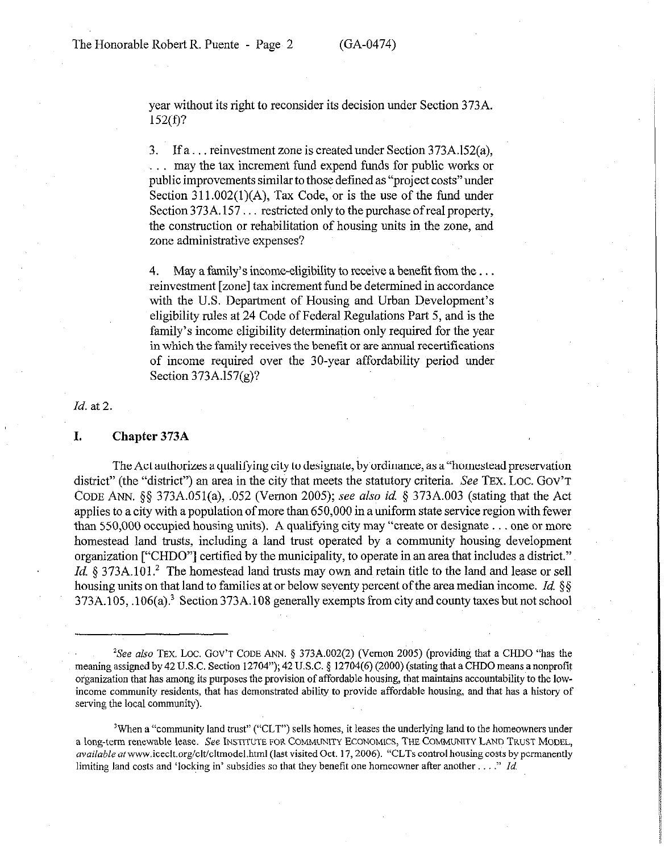year without its right to reconsider its decision under Section 373A. 152(f)?

3. If a... reinvestment zone is created under Section 373A.152(a), may the tax increment fund expend funds for public works or public improvements similar to those defined as "project costs" under Section  $311.002(1)(A)$ , Tax Code, or is the use of the fund under Section  $373A.157...$  restricted only to the purchase of real property, the construction or rehabilitation of housing units in the zone, and zone administrative expenses?

4. May a family's income-eligibility to receive a benefit from the ... reinvestment [zone] tax increment fond be determined in accordance with the U.S. Department of Housing and Urban Development's eligibility rules at 24 Code of Federal Regulations Part 5, and is the family's income eligibility determination only required for the year in which the family receives the benefit or are annual recertifications of income required over the 30-year affordability period under Section 373A.l57(g)?

#### *Id.* at 2.

#### **I. Chapter 373A**

The Act authorizes a qualifying city to designate, by ordinance, as a "homestead preservation district" (the "district") an area in the city that meets the statutory criteria. See TEX. LOC. GOV'T CODE ANN. 5s 373A.O51(a), ,052 (Vernon 2005); see also *id* 5 373A.003 (stating that the Act applies to a city with a population of more than 650,000 in a uniform state service region with fewer than  $550,000$  occupied housing units). A qualifying city may "create or designate . . . one or more homestead land trusts, including a land trust operated by a community housing development organization ["CHDO"] certified by the municipality, to operate in an area that includes a district." *Id.*  $8$  373A.101.<sup>2</sup> The homestead land trusts may own and retain title to the land and lease or sell housing units on that land to families at or below seventy percent of the area median income. *Id. (\$5*  373A.105, .106(a)? Section 373A.108 generally exempts from city and county taxes but not school

<sup>&</sup>lt;sup>2</sup>See also TEX. LOC. GOV'T CODE ANN. § 373A.002(2) (Vernon 2005) (providing that a CHDO "has the meaning assigned by 42 U.S.C. Section 12704"); 42 U.S.C. § 12704(6) (2000) (stating that a CHDO means a nonprofit organization that has among its purposes the provision of affordable housing, that maintains accountability to the lowincome community residents, that has demonstrated ability to provide affordable housing, and that has a history of serving the local community).

<sup>&#</sup>x27;When a "community land trust" ("CLT") sells homes, it leases the underlying land to the homeowners under **a** long-term renewable **lease. See INSTITUTE FOR COMMUWTY ECONOMICS, THE COMMUNITY LAND TRUST MODEL,**  *available* atwww.iceclt.org/clt/cltmodel.html (last visited Oct. 17,2006). "CLTs control housing costs by permanently limiting land costs and 'locking in' subsidies so that they benefit one homeowner after another..." *Id.*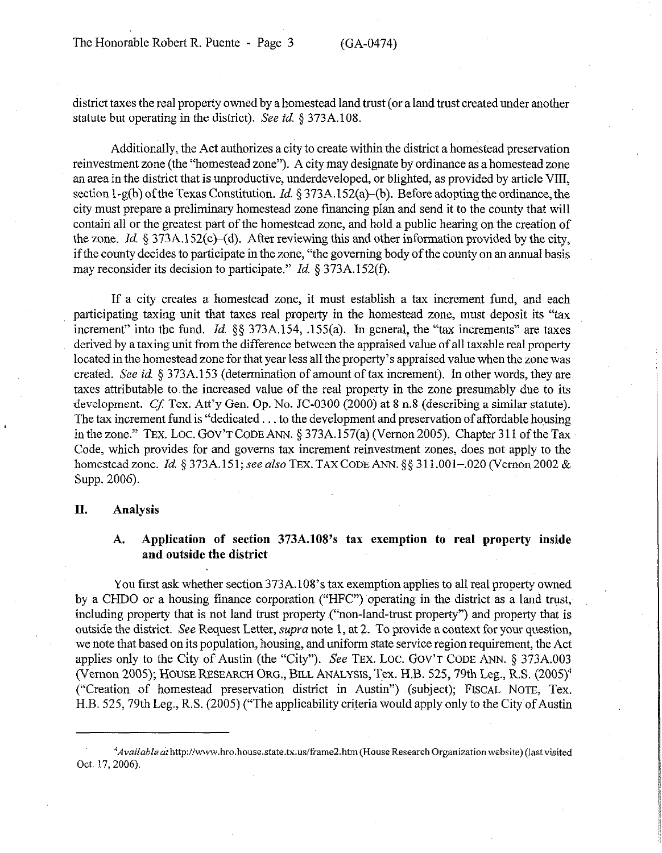district taxes the real property owned by a homestead land trust (or a land trust created under another statute but operating in the district). See *id.* § 373A.108.

Additionally, the Act authorizes a city to create within the district a homestead preservation reinvestment zone (the "homestead zone"). A city may designate by ordinance as a homestead zone an area in the district that is unproductive, underdeveloped, or blighted, as provided by article VIII, section 1-g(b) of the Texas Constitution. *Id.* § 373A.152(a)-(b). Before adopting the ordinance, the city must prepare a preliminary homestead zone financing plan and send it to the county that will contain all or the greatest part of the homestead zone, and hold a public hearing on the creation of the zone. *Id.* 5 373A.l52(c)-(d). After reviewing this and other information provided by the city, if the county decides to participate in the zone, "the governing body of the county on an annual basis may reconsider its decision to participate." *Id.* § 373A. 152(f).

If a city creates a homestead zone, it must establish a tax increment fund, and each participating taxing unit that taxes real property in the homestead zone, must deposit its "tax increment" into the fund. *Id.* §§ 373A.154, .155(a). In general, the "tax increments" are taxes derived by a taxing unit from the difference between the appraised value of all taxable real property located in the homestead zone for that year less all the property's appraised value when the zone was created. See *id.* 5 373A.153 (determination of amount of tax increment). In other words, they are taxes attributable to the increased value of the real property in the zone presumably due to its development. Cf. Tex. Att'y Gen. Op. No. JC-0300 (2000) at 8 n.8 (describing a similar statute). The tax increment fund is "dedicated  $\dots$  to the development and preservation of affordable housing in the zone." TEX. LOC. GOV'T CODE ANN.  $\S 373A.157(a)$  (Vernon 2005). Chapter 311 of the Tax Code, which provides for and governs tax increment reinvestment zones, does not apply to the homestead zone. *Id.* § 373A.151; see also TEX. TAX CODE ANN. §§ 311.001-.020 (Vernon 2002 & Supp. 2006).

### **II. Analysis**

### A. Application of section 373A.108's tax exemption to real property inside **and outside the district**

You first ask whether section 373A.108's tax exemption applies to all real property owned by a CHDO or a housing finance corporation ("HFC") operating in the district as a land trust, including property that is not land trust property ("non-land-trust property") and property that is outside the district. See Request Letter, supra note 1, at 2. To provide a context for your question, we note that based on its population, housing, and uniform state service region requirement, the Act applies only to the City of Austin (the "City"). See TEX. LOC. GOV'T CODE ANN.  $\S$  373A.003 (Vernon 2005); HOUSE RESEARCH ORG., BILL ANALYSIS, Tex. H.B. 525,79th Leg., R.S. (2005)4 ("Creation of homestead preservation district in Austin") (subject); FISCAL NOTE, Tex. H.B. 525,79th Leg., R.S. (2005) ("The applicability criteria would apply only to the City of Austin

<sup>~~</sup>Avai/ableafh~p://www.hro.house.state.hc.us/~ameZ.htm(HouseResearch Organization website) (lastvisited Oct. 17, 2006).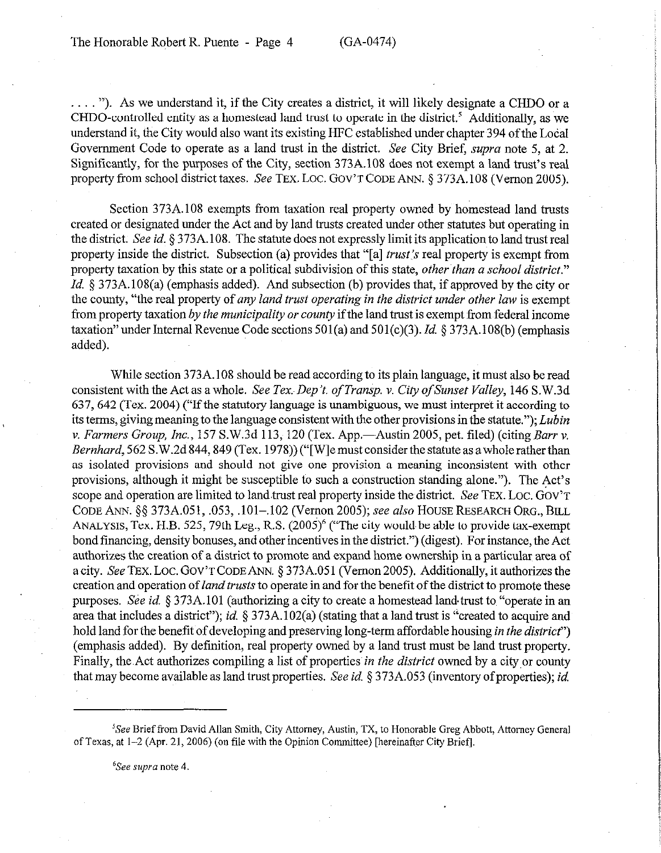$\ldots$  "). As we understand it, if the City creates a district, it will likely designate a CHDO or a CHDO-controlled entity as a homestead land trust to operate in the district.' Additionally, as we understand it, the City would also want its existing HFC established under chapter 394 of the Local Government Code to operate as a land trust in the district. See City Brief, supra note 5, at 2. Significantly, for the purposes of the City, section 373A.108 does not exempt a land trust's real property from school district taxes. See TEX. LOC. GOV'T CODE ANN. § 373A.108 (Vernon 2005).

Section 373A.108 exempts from taxation real property owned by homestead land trusts created or designated under the Act and by land trusts created under other statutes but operating in the district. See *id.* § 373A. 108. The statute does not expressly limit its application to land trust real property inside the district. Subsection (a) provides that "[a] trust's real property is exempt from property taxation by this state or a political subdivision of this state, *other than a school district." Id.*  $\&$  373A.108(a) (emphasis added). And subsection (b) provides that, if approved by the city or the county, "the real property of *any land trust operating in the district under other* law is exempt from property taxation *by the municipality or county* if the land trust is exempt from federal income taxation"under Internal Revenue Code sections 501(a) and 501(c)(3). *Id.* § 373A.l08(b) (emphasis added).

While section 373A.108 should be read according to its plain language, it must also be read consistent with the Act as a whole. *See Tex Dep't. of Transp. v. City ofSunset Valley,* 146 S.W.3d 637,642 (Tex. 2004) ("If the statutory language is unambiguous, we must interpret it according to its terms, giving meaning to the language consistent with the other provisions in the statute."); *Lubin* v. *Farmers Group, Inc.*, 157 S.W.3d 113, 120 (Tex. App.—Austin 2005, pet. filed) (citing *Barr v. Bernhard*, 562 S.W.2d 844, 849 (Tex. 1978)) ("[W] e must consider the statute as a whole rather than as isolated provisions and should not give one provision a meaning inconsistent with other provisions, although it might be susceptible to such a construction standing alone."). The Act's scope and operation are limited to land trust real property inside the district. See TEX. LOC. GOV'T CODE ANN. 5s 373A.051, ,053, .lOl-,102 (Vernon 2005); see also HOUSE RESEARCH ORG., BILL ANALYSIS, Tex. H.B. 525, 79th Leg., R.S.  $(2005)^6$  ("The city would be able to provide tax-exempt bond financing, density bonuses, and other incentives in the district.") (digest). For instance, the Act authorizes the creation of a district to promote and expand home ownership in a particular area of a city. See TEX. LOC. GOV'T CODE ANN. § 373A.051 (Vernon 2005). Additionally, it authorizes the creation and operation *of land trusts* to operate in and for the benefit of the district to promote these purposes, See *id.* § 373A.101 (authorizing a city to create a homestead land~trust to "operate in an area that includes a district"); *id.* 5 373A. 102(a) (stating that a land trust is "created to acquire and hold land for the benefit of developing and preserving long-term affordable housing *in the district*") (emphasis added). By definition, real property owned by a land trust must be land trust property. Finally, the,Act authorizes compiling a list of properties *in the district* owned by a cityor county that may become available as land trust properties. See *id.* § 373A.053 (inventory of properties); *id.* 

<sup>6</sup>See supra note 4.

<sup>&#</sup>x27;See Brief from David Allan Smith, City Attorney, Austin, TX, to Honorable Greg Abbott, Attorney General of Texas, at l-2 (Apr. 21, 2006) (on file with the Opinion Committee) [hereinafter City Briefl.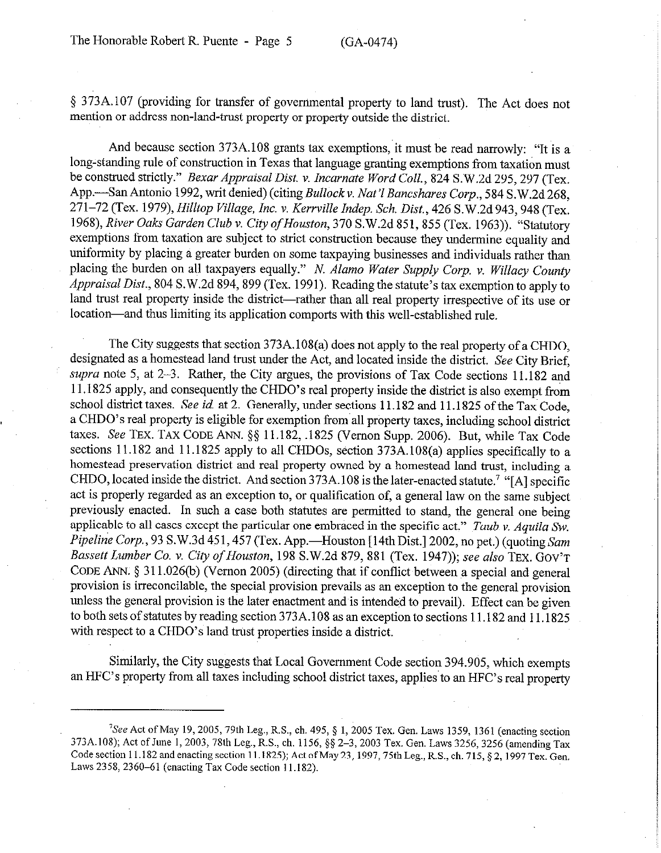5 373A. 107 (providing for transfer of governmental property to land trust). The Act does not mention or address non-land-trust property or property outside the district.

And because section 373A.108 grants tax exemptions, it must be read narrowly: "It is a long-standing rule of construction in Texas that language granting exemptions from taxation must be construed strictly." *Bexur Appraisal Dist. v. Incarnate Word Coil., 824* S.W.2d 295,297 (Tex. App.-San Antonio 1992, writ denied) (citing *Bullockv. Nat'1 Bancshares Corp., 584* S.W.2d 268, *271-72* (Tex. 1979), *Hilltop Village, Inc. v. Kerrville Indep. Sch. Dist., 426* S.W,2d943,948 (Tex. *1968), River Oaks Garden Club v. City ofHouston, 370* S.W.2d 851,855 (Tex. 1963)). "Statutory exemptions from taxation are subject to strict construction because they undermine equality and uniformity by placing a greater burden on some taxpaying businesses and individuals rather than placing the burden on all taxpayers equally." *N. Alamo Wuter Supply Corp. v. Willacy County Appraisal Dist.,* 804 S.W.2d 894,899 (Tex. 1991). Reading the statute's tax exemption to apply to land trust real property inside the district—rather than all real property irrespective of its use or location-and thus limiting its application comports with this well-established rule.

The City suggests that section 373A.l08(a) does not apply to the real property of a CHDO, designated as a homestead land trust under the Act, and located inside the district. See City Brief, *supra* note 5, at 2-3. Rather, the City argues, the provisions of Tax Code sections 11.182 and 11 .1825 apply, and consequently the CHDO's real property inside the district is also exempt from school district taxes. See *id* at 2. Generally, under sections 11.182 and 11.1825 of the Tax Code, a CHDO's real property is eligible for exemption from all property taxes, including school district taxes. See TEX. TAX CODE ANN. \$5 11.182, .1825 Vernon Supp. 2006). But, while Tax Code sections 11.182 and 11.1825 apply to all CHDOs, section 373A.108(a) applies specifically to a homestead preservation district and real property owned by a homestead land trust, including a CHDO, located inside the district. And section 373A. 108 is the later-enacted statute? "[A] specific act is properly regarded as an exception to, or qualification of, a general law on the same subject previously enacted. In such a case both statutes are permitted to stand, the general one being applicable to all cases except the particular one embraced in the specific act." *Taub v. Aquila SW. Pipeline Corp.*, 93 S.W.3d 451, 457 (Tex. App.—Houston [14th Dist.] 2002, no pet.) (quoting *Sam Bassett Lumber Co. v. City of Houston,* 198 S.W.2d 879, 881 (Tex. 1947)); see *also* TEX. GOV'T CODE ANN. \$ 3 11.026(b) (Vernon 2005) (directing that if conflict between a special and general provision is irreconcilable, the special provision prevails as an exception to the general provision unless the general provision is the later enactment and is intended to prevail). Effect can be given to both sets of statutes by reading section 373A.108 as an exception to sections 11.182 and 11.1825 with respect to a CHDO's land trust properties inside a district.

Similarly, the City suggests that Local Government Code section 394.905, which exempts an HFC's property from all taxes including school district taxes, applies to an HFC's real property

 ${}^{7}See$  Act of May 19, 2005, 79th Leg., R.S., ch. 495, § 1, 2005 Tex. Gen. Laws 1359, 1361 (enacting section 373A.108); Act of June 1, 2003, 78th Leg., R.S., ch. 1156, §§ 2-3, 2003 Tex. Gen. Laws 3256, 3256 (amending Tax Code section 11.182 and enacting section 11.1825); Act of May 23, 1997, 75th Leg., R.S., ch. 715, § 2, 1997 Tex. Gen. Laws 2358, 2360-61 (enacting Tax Code section 11.182).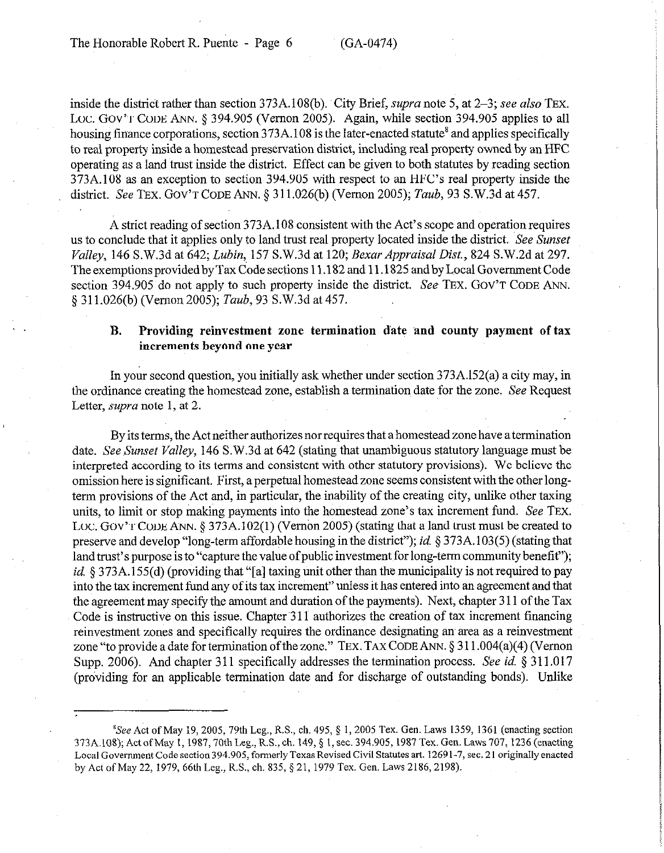inside the district rather than section 373A.108(b). City Brief, *supra* note 5, at 2–3; see also TEX. Loc. GOV'T CODE ANN. § 394.905 (Vernon 2005). Again, while section 394.905 applies to all housing finance corporations, section  $373A.108$  is the later-enacted statute<sup>8</sup> and applies specifically to real property inside a homestead preservation district, including real property owned by an HFC operating as a land trust inside the district. Effect can be given to both statutes by reading section 373A.108 as an exception to section 394.905 with respect to an HFC's real property inside the district. See TEX. GOV'T CODE ANN. 5 3 11.026(b) (Vernon 2005); *Taub, 93* S.W.3d at 457.

A strict reading of section 373A.108 consistent with the Act's scope and operation requires us to conclude that it applies only to land trust real property located inside the district. See *Sunset Valley, 146* S.W.3d at *642; Lubin,* 157 S.W.3d at 120; *Bexur Appraisal Dist., 824* S.W.2d at 297. The exemptions provided by Tax Code sections 11.182 and 11.1825 and by Local Government Code section 394.905 do not apply to such property inside the district. See TEX. GOV'T CODE ANN. *5* 311.026(b) (Vernon *2005); Taub,~93* S.W.3d at 457.

### **B. Providing reinvestment zone termination date and county payment of tax increments beyond one year**

In your second question, you initially ask whether under section 373A.l52(a) a city may, in the ordinance creating the homestead zone, establish a termination date for the zone. See Request Letter, *supra* note 1, at 2.

By its terms, the Act neither authorizes nor requires that a homestead zone have a termination date. See *Sunset Valley,* 146 S.W.3d at 642 (stating that unambiguous statutory language must be interpreted according to its terms and consistent with other statutory provisions). We believe the omission here is significant. First, a perpetual homestead zone seems consistent with the other longterm provisions of the Act and, in particular, the inability of the creating city, unlike other taxing units, to limit or stop making payments into the homestead zone's tax increment fund. See TEX. LOC. GOV'T CODE ANN. § 373A.102(1) (Vernon 2005) (stating that a land trust must be created to preserve and develop "long-term affordable housing in the district"); *id* 5 373A.103(5) (stating that land trust's purpose is to "capture the value of public investment for long-term community benefit"); *id.* § 373A.155(d) (providing that "[a] taxing unit other than the municipality is not required to pay into the tax increment fund any of its tax increment" unless it has entered into an agreement and that the agreement may specify the amount and duration of the payments). Next, chapter 3 11 of the Tax Code is instructive on this issue. Chapter 311 authorizes the creation of tax increment financing reinvestment zones and specifically requires the ordinance designating an area as a reinvestment zone "to provide a date for termination of the zone." TEX. TAX CODE ANN.  $\S 311.004(a)(4)$  (Vernon. Supp. 2006). And chapter 3 11 specifically addresses the termination process. See *id. § 3* 11.017 (providing for an applicable termination date and for discharge of outstanding bonds). Unlike

 ${}^{8}$ See Act of May 19, 2005, 79th Leg., R.S., ch. 495,  $\S$  1, 2005 Tex. Gen. Laws 1359, 1361 (enacting section 373A.108); Act of May 1, 1987, 70th Leg., R.S., ch. 149, § 1, sec. 394.905, 1987 Tex. Gen. Laws 707, 1236 (enacting Local Government Code section 394.905, formerly Texas Revised Civil Statutes art. 1269 l-7, sec. 2 1 originally enacted by Act of May 22, 1979, 66th Leg., R.S., ch. 835, § 21, 1979 Tex. Gen. Laws 2186, 2198).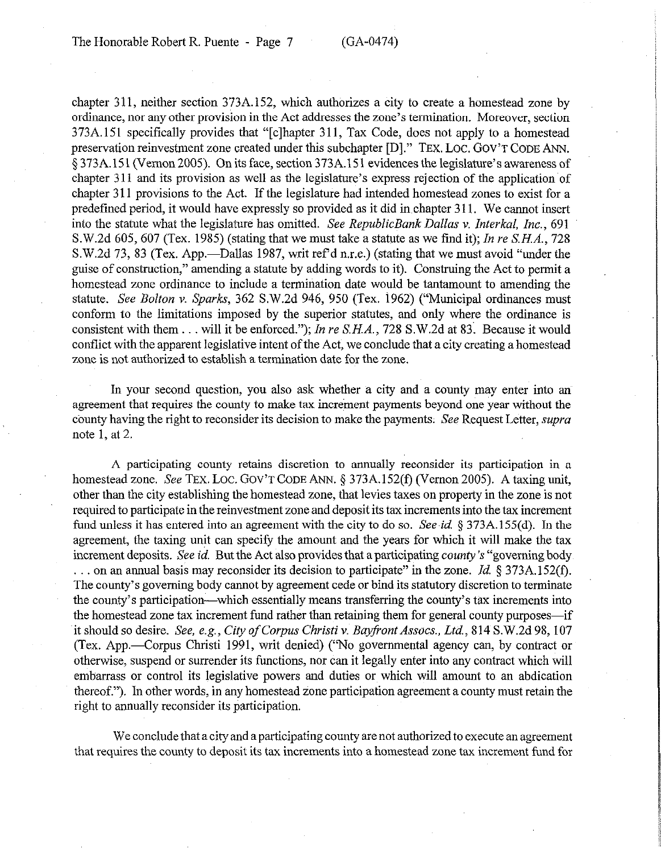chapter 311, neither section 373A.152, which authorizes a city to create a homestead zone by ordinance, nor any other provision in the Act addresses the zone's termination. Moreover, section 373A. 151 specifically provides that "[clhapter 311, Tax Code, does not apply to a homestead preservation reinvestment zone created under this subchapter [D]." TEX. LOC. GOV'T CODE ANN. § 373A.151 (Vernon 2005). On its face, section 373A.15 1 evidences the legislature's awareness of chapter 3 11 and its provision as well as the legislature's express rejection of the application of chapter 3 11 provisions to the Act. If the legislature had intended homestead zones to exist for a predefined period, it would have expressly so provided as it did in chapter 311. We cannot insert into the statute what the legislature has omitted. *See RepublicBank Dallas v. Interkal, Inc.,* 691 S.W.2d 605, 607 (Tex. 1985) (stating that we must take a statute as we find it); *In re S.H.A., 728*  S.W.2d 73, 83 (Tex. App.—Dallas 1987, writ ref d n.r.e.) (stating that we must avoid "under the guise of construction," amending a statute by adding words to it). Construing the Act to permit a homestead zone ordinance to include a termination date would be tantamount to amending the statute. See *Bolton* v. Sparks, 362 S.W.2d 946, 950 (Tex. 1962) ("Municipal ordinances must conform to the limitations imposed by the superior statutes, and only where the ordinance is consistent with them . . . will it be enforced."); *In re S.H.A.*, 728 S.W.2d at 83. Because it would conflict with the apparent legislative intent of the Act, we conclude that a city creating a homestead zone is not authorized to establish a termination date for the zone.

In your second question, you also ask whether a city and a county may enter into an agreement that requires the county to make tax increment payments beyond one year without the county having the right to reconsider its decision to make the payments. See Request Letter, *supra*  note 1, at 2.

A participating county retains discretion to annually reconsider its participation in a homestead zone. See TEX. LOC. GOV'T CODE ANN. § 373A.152(f) (Vernon 2005). A taxing unit, other than the city establishing the homestead zone, that levies taxes on property in the zone is not required to participate in the reinvestment zone and deposit its tax increments into the tax increment fund unless it has entered into an agreement with the city to do so. *See id.* § 373A.155(d). In the agreement, the taxing unit can specify the amount and the years for which it will make the tax increment deposits. See *id.* But the Act also provides that a participating *county's* "governing body . on an annual basis may reconsider its decision to participate" in the zone. *Id. 5* 373A. 152(f). The county's governing body cannot by agreement cede or bind its statutory discretion to terminate the county's participation-which essentially means transferring the county's tax increments into the homestead zone tax increment fund rather than retaining them for general county purposes—if it should so desire. *See, e.g., City of Corpus Christi v. Bayfront Assocs., Ltd.*, 814 S.W.2d 98, 107 (Tex. App.-Corpus Christi 1991, writ denied) ("No governmental agency can, by contract or otherwise, suspend or surrender its functions, nor can it legally enter into any contract which will embarrass or control its legislative powers and duties or which will amount to an abdication thereof."). In other words, in any homestead zone participation agreement a county must retain the right to annually reconsider its participation.

We conclude that a city and a participating county are not authorized to execute an agreement that requires the county to deposit its tax increments into a homestead zone tax increment fund for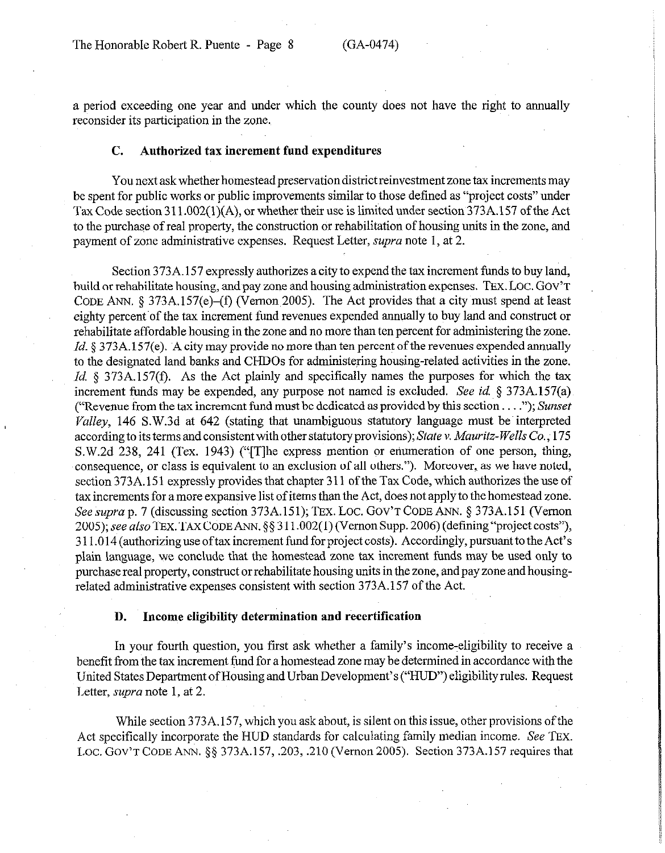a period exceeding one year and under which the county does not have the right to annually reconsider its participation in the zone.

## C. **Authorized tax increment fund expenditures**

You next ask whether homestead preservation district reinvestment zone tax increments may be spent for public works or public improvements similar to those defined as "project costs" under Tax Code section 311.002(1)(A), or whether their use is limited under section 373A.157 of the Act to the purchase of real property, the construction or rehabilitation of housing units in the zone, and payment of zone administrative expenses. Request Letter, *supra* note 1, at 2.

Section 373A. 157 expressly authorizes a city to expend the tax increment funds to buy land, build or rehabilitate housing, and pay zone and housing administration expenses. TEX. LOC. GOV'T CODE ANN. 5 373A.l57(e)-(f) (Vernon 2005). The Act provides that a city must spend at least eighty percent of the tax increment fund revenues expended annually to buy land and construct or rehabilitate affordable housing in the zone and no more than ten percent for administering the zone. *Id.* § 373A.157(e). A city may provide no more than ten percent of the revenues expended annually to the designated land banks and CHDOs for administering housing-related activities in the zone. *Id.* § 373A.157(f). As the Act plainly and specifically names the purposes for which the tax increment funds may be expended, any purpose not named is excluded. See *id.* 5 373A.l57(a) ("Revenue from the tax increment fund must be dedicated as provided by this section. ."); *Sunset*   $Valley$ , 146 S.W.3d at 642 (stating that unambiguous statutory language must be interpreted according to its terms and consistent with other statutory provisions); *State v. Muuritz- Wells Co.,* 175 S.W.2d 238, 241 (Tex. 1943) ("[Tlhe express mention or enumeration of one person, thing, consequence, or class is equivalent to an exclusion of all others."). Moreover, as we have noted, section 373A.151 expressly provides that chapter 311 of the Tax Code, which authorizes the use of tax increments for a more expansive list of items than the Act, does not apply to the homestead zone. See supra p. 7 (discussing section 373A.151); TEX. LOC. GOV'T CODE ANN. § 373A.151 (Vernon 2005); see also TEX. TAX CODE ANN. §§ 311.002(1) (Vernon Supp. 2006) (defining "project costs"), 3 11 .O 14 (authorizing use of tax increment fund for project costs). Accordingly, pursuant to the Act's plain language, we conclude that the homestead zone tax increment funds may be used only to purchase real property, construct or rehabilitate housing units in the zone, and pay zone and housingrelated administrative expenses consistent with section 373A.157 of the Act.

#### **D. Income eligibility determination and recertification**

In your fourth question, you first ask whether a family's income-eligibility to receive a benefit from the tax increment fund for a homestead zone may be determined in accordance with the United States Department of Housing and Urban Development's ("HUD") eligibility rules. Request Letter, *supra* note 1, at 2.

While section 373A. 157, which you ask about, is silent on this issue, other provisions of the Act specifically incorporate the HUD standards for calculating family median income. See TEX. LOC. GOV'T CODE ANN. §§ 373A.157, .203, .210 (Vernon 2005). Section 373A.157 requires that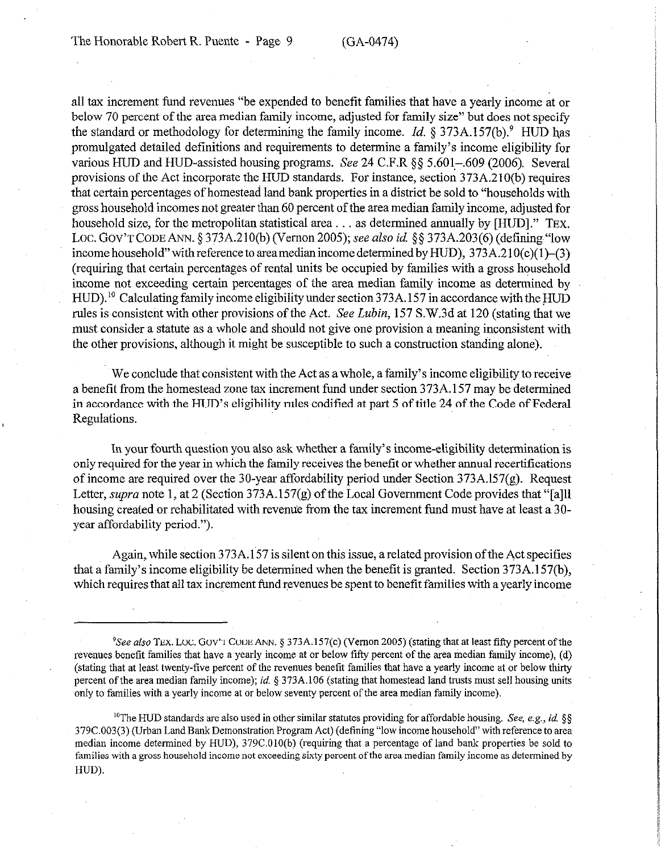all tax increment fund revenues "be expended to benefit families that have a yearly income at or below 70 percent of the area median family income, adjusted for family size" but does not specify the standard or methodology for determining the family income. *Id.*  $\S 373A.157(b)$ .<sup>9</sup> HUD has promulgated detailed definitions and requirements to determine a family's income eligibility for various HUD and HUD-assisted housing programs. See 24 C.F.R §§ 5.601-.609 (2006). Several provisions of the Act incorporate the HUD standards. For instance, section 373A.210(b) requires that certain percentages of homestead land bank properties in a district be sold to "households with gross household incomes not greater than 60 percent of the area median family~income, adjusted for household size, for the metropolitan statistical area... as determined annually by  $[HUD]$ ." TEX. Loc. Gov't CODE ANN. § 373A.210(b) (Vernon 2005); see also *id.* §§ 373A.203(6) (defining "low income household" with reference to area median income determined by HUD),  $373A.210(c)(1)-(3)$ (requiring that certain percentages of rental units be occupied by families with a gross household income not exceeding certain percentages of the area median family income as determined by HUD).<sup>10</sup> Calculating family income eligibility under section 373A.157 in accordance with the HUD rules is,consistent with other provisions of the Act. *See Lubin,* 157 S.W.3d at 120 (stating that we must consider a statute as a whole and should not give one provision a meaning inconsistent with the other provisions, although it might be susceptible to such a construction standing alone).

We conclude that consistent with the Act as a whole, a family's income eligibility to receive a benefit from the homestead zone tax increment fund under section 373A. 157 may be determined in accordance with the HUD's eligibility rules codified at part 5 of title 24 of the Code of Federal Regulations.

In your fourth Guestion you also ask whether a family's income-eligibility determination is only required for the year in which the family receives the benefit or whether annual recertifications of income are required over the 30-year affordability period under Section 373A.l57(g). Request Letter, *supra* note 1, at 2 (Section 373A.157(g) of the Local Government Code provides that "[a]] housing created or rehabilitated with revenue from the tax increment fund must have at least a 30 year affordability period.").

Again, while section 373A.157 is silent on this issue, a related provision of the Act specifies that a family's income eligibility be determined when the benefit is granted. Section 373A.l57(b), which requires that all tax increment fund revenues be spent to benefit families with a yearly income

<sup>10</sup>The HUD standards are also used in other similar statutes providing for affordable housing. See, e.g., id. §§ 379C.O03(3) (Urban Land Bank Demonstration Program Act) (defining "low income household" with reference to area median income determined by HUD), 379C.OlO(b) (requiring that a percentage of land bank properties be sold to families with a gross household income not exceeding sixty percent of the area median family income as determined by HUD).

<sup>&</sup>lt;sup>9</sup>See also TEX. LOC. GOV'T CODE ANN. § 373A.157(c) (Vernon 2005) (stating that at least fifty percent of the revenues benefit families that have a yearly income at or below fifty percent of the area median family income), (d) (stating that at least twenty-five percent of the revenues benefit families that have a yearly income at or below thirty percent of the area median family income); id.  $\S 373A.106$  (stating that homestead land trusts must sell housing units only to families with a yearly income at or below seventy percent of the area median family income).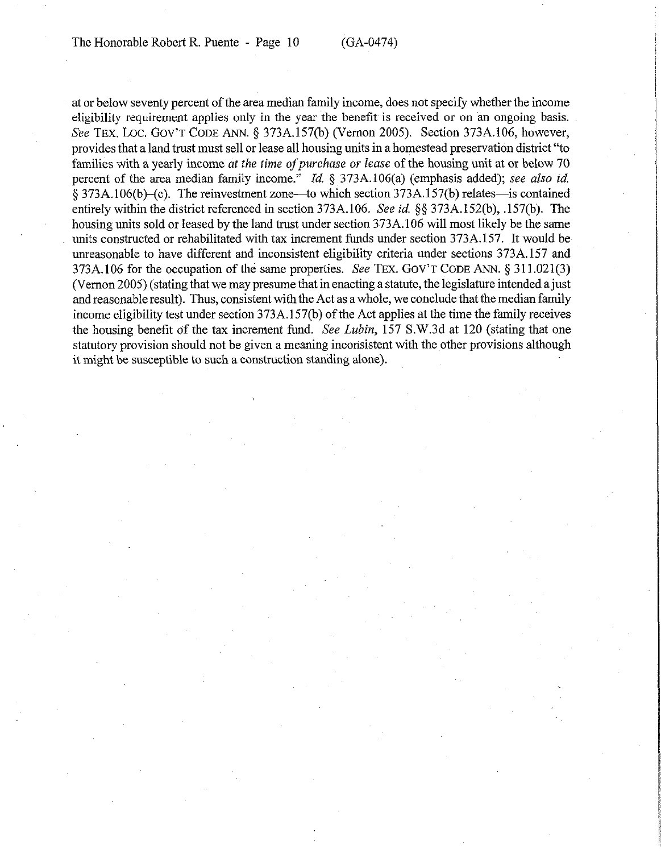at or below seventy percent of the area median family income, does not specify whether the income eligibility requirement applies only in the year the benefit is received or on an ongoing basis. See TEX. LOC. GOV'T CODE ANN. § 373A.157(b) (Vernon 2005). Section 373A.106, however, provides that a land trust must sell or lease all housing units in a homestead preservation district "to families with a yearly income at the time of purchase or lease of the housing unit at or below 70 percent of the area median family income." *Id.*  $\frac{1}{2}$  373A.106(a) (emphasis added); see also *id.*  $\S 373A.106(b)$ -(c). The reinvestment zone-to which section 373A.157(b) relates-is contained entirely within the district referenced in section 373A.106. See *id.* \$5 373A.l52(b), .157(b). The housing units sold or leased by the land trust under section 373A.106 will most likely be the same units constructed or rehabilitated with tax increment funds under section 373A.157. It would be unreasonable to have different and inconsistent eligibility criteria under sections 373A.157 and 373A. 106 for the occupation of the same properties. See **TEX. GOV'T CODE ANN. 5 3 11.021(3)**  (Vernon 2005) (stating that we may presume that in enacting a statute, the legislature intended a just and reasonable result). Thus, consistent with the Act as a whole, we conclude that the median family income eligibility test under section 373A.l57(b) of the Act applies at the time the family receives the housing benefit of the tax increment fund. *See Lubin,* 157 S.W.3d at 120 (stating that one statutory provision should not be given a meaning inconsistent with the other provisions although it might be susceptible to such a construction standing alone).